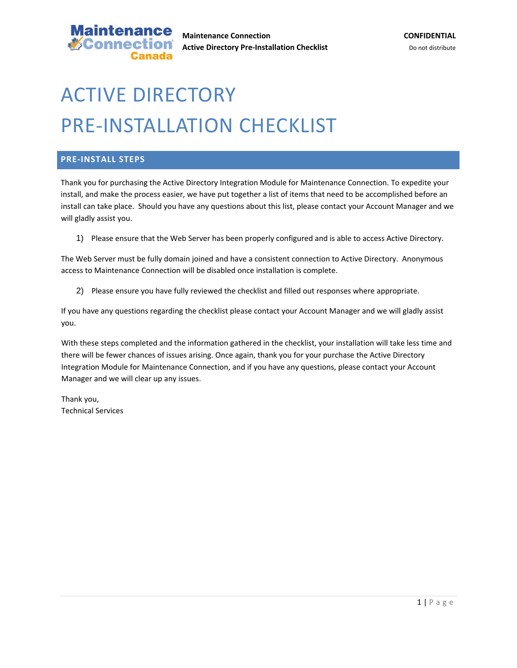

# ACTIVE DIRECTORY PRE‐INSTALLATION CHECKLIST

#### **PRE‐INSTALL STEPS**

Thank you for purchasing the Active Directory Integration Module for Maintenance Connection. To expedite your install, and make the process easier, we have put together a list of items that need to be accomplished before an install can take place. Should you have any questions about this list, please contact your Account Manager and we will gladly assist you.

1) Please ensure that the Web Server has been properly configured and is able to access Active Directory.

The Web Server must be fully domain joined and have a consistent connection to Active Directory. Anonymous access to Maintenance Connection will be disabled once installation is complete.

2) Please ensure you have fully reviewed the checklist and filled out responses where appropriate.

If you have any questions regarding the checklist please contact your Account Manager and we will gladly assist you.

With these steps completed and the information gathered in the checklist, your installation will take less time and there will be fewer chances of issues arising. Once again, thank you for your purchase the Active Directory Integration Module for Maintenance Connection, and if you have any questions, please contact your Account Manager and we will clear up any issues.

Thank you, Technical Services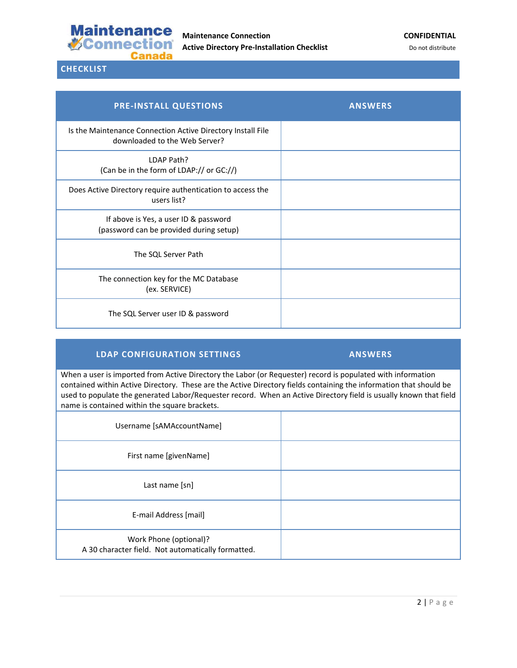

**CHECKLIST**

| <b>PRE-INSTALL QUESTIONS</b>                                                                 | <b>ANSWERS</b> |
|----------------------------------------------------------------------------------------------|----------------|
| Is the Maintenance Connection Active Directory Install File<br>downloaded to the Web Server? |                |
| LDAP Path?<br>(Can be in the form of LDAP:// or GC://)                                       |                |
| Does Active Directory require authentication to access the<br>users list?                    |                |
| If above is Yes, a user ID & password<br>(password can be provided during setup)             |                |
| The SQL Server Path                                                                          |                |
| The connection key for the MC Database<br>(ex. SERVICE)                                      |                |
| The SQL Server user ID & password                                                            |                |

## **LDAP CONFIGURATION SETTINGS ANSWERS**

When a user is imported from Active Directory the Labor (or Requester) record is populated with information contained within Active Directory. These are the Active Directory fields containing the information that should be used to populate the generated Labor/Requester record. When an Active Directory field is usually known that field name is contained within the square brackets.

| Username [sAMAccountName]                                                    |  |
|------------------------------------------------------------------------------|--|
| First name [givenName]                                                       |  |
| Last name [sn]                                                               |  |
| E-mail Address [mail]                                                        |  |
| Work Phone (optional)?<br>A 30 character field. Not automatically formatted. |  |